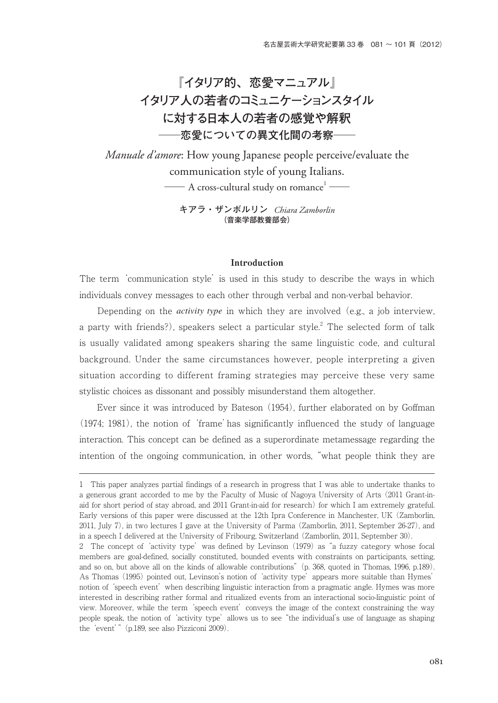**『イタリア的、恋愛マニュアル』 イタリア人の若者のコミュニケーションスタイル に対する日本人の若者の感覚や解釈 ─恋愛についての異文化間の考察─**

*Manuale d'amore*: How young Japanese people perceive/evaluate the communication style of young Italians.  $\longrightarrow$  A cross-cultural study on romance $^1$   $\longrightarrow$ 

> **キアラ・ザンボルリン** *Chiara Zamborlin* **(音楽学部教養部会)**

#### Introduction

The term 'communication style' is used in this study to describe the ways in which individuals convey messages to each other through verbal and non-verbal behavior.

 Depending on the *activity type* in which they are involved (e.g., a job interview, a party with friends?), speakers select a particular style. $^2$  The selected form of talk is usually validated among speakers sharing the same linguistic code, and cultural background. Under the same circumstances however, people interpreting a given situation according to different framing strategies may perceive these very same stylistic choices as dissonant and possibly misunderstand them altogether.

 Ever since it was introduced by Bateson (1954), further elaborated on by Goffman (1974; 1981), the notion of 'frame'has significantly influenced the study of language interaction. This concept can be defined as a superordinate metamessage regarding the intention of the ongoing communication, in other words, "what people think they are

<sup>1</sup> This paper analyzes partial findings of a research in progress that I was able to undertake thanks to a generous grant accorded to me by the Faculty of Music of Nagoya University of Arts (2011 Grant-inaid for short period of stay abroad, and 2011 Grant-in-aid for research) for which I am extremely grateful. Early versions of this paper were discussed at the 12th Ipra Conference in Manchester, UK (Zamborlin, 2011, July 7), in two lectures I gave at the University of Parma (Zamborlin, 2011, September 26-27), and in a speech I delivered at the University of Fribourg, Switzerland (Zamborlin, 2011, September 30).

<sup>2</sup> The concept of 'activity type' was defined by Levinson (1979) as "a fuzzy category whose focal members are goal-defined, socially constituted, bounded events with constraints on participants, setting, and so on, but above all on the kinds of allowable contributions" (p. 368, quoted in Thomas, 1996, p.189). As Thomas (1995) pointed out, Levinson's notion of 'activity type' appears more suitable than Hymes' notion of 'speech event' when describing linguistic interaction from a pragmatic angle. Hymes was more interested in describing rather formal and ritualized events from an interactional socio-linguistic point of view. Moreover, while the term 'speech event' conveys the image of the context constraining the way people speak, the notion of 'activity type' allows us to see "the individual's use of language as shaping the 'event'" (p.189, see also Pizziconi 2009).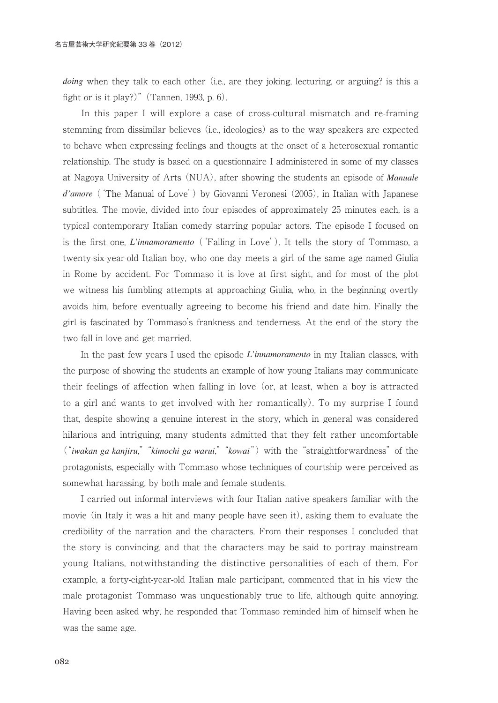*doing* when they talk to each other (i.e., are they joking, lecturing, or arguing? is this a fight or is it play?)" (Tannen, 1993, p. 6).

 In this paper I will explore a case of cross-cultural mismatch and re-framing stemming from dissimilar believes (i.e., ideologies) as to the way speakers are expected to behave when expressing feelings and thougts at the onset of a heterosexual romantic relationship. The study is based on a questionnaire I administered in some of my classes at Nagoya University of Arts (NUA), after showing the students an episode of *Manuale d'amore* ('The Manual of Love') by Giovanni Veronesi (2005), in Italian with Japanese subtitles. The movie, divided into four episodes of approximately 25 minutes each, is a typical contemporary Italian comedy starring popular actors. The episode I focused on is the first one, *L'innamoramento* ('Falling in Love'). It tells the story of Tommaso, a twenty-six-year-old Italian boy, who one day meets a girl of the same age named Giulia in Rome by accident. For Tommaso it is love at first sight, and for most of the plot we witness his fumbling attempts at approaching Giulia, who, in the beginning overtly avoids him, before eventually agreeing to become his friend and date him. Finally the girl is fascinated by Tommaso's frankness and tenderness. At the end of the story the two fall in love and get married.

 In the past few years I used the episode *L'innamoramento* in my Italian classes, with the purpose of showing the students an example of how young Italians may communicate their feelings of affection when falling in love (or, at least, when a boy is attracted to a girl and wants to get involved with her romantically). To my surprise I found that, despite showing a genuine interest in the story, which in general was considered hilarious and intriguing, many students admitted that they felt rather uncomfortable ("*iwakan ga kanjiru*," "*kimochi ga warui*," "*kowai*") with the "straightforwardness" of the protagonists, especially with Tommaso whose techniques of courtship were perceived as somewhat harassing, by both male and female students.

 I carried out informal interviews with four Italian native speakers familiar with the movie (in Italy it was a hit and many people have seen it), asking them to evaluate the credibility of the narration and the characters. From their responses I concluded that the story is convincing, and that the characters may be said to portray mainstream young Italians, notwithstanding the distinctive personalities of each of them. For example, a forty-eight-year-old Italian male participant, commented that in his view the male protagonist Tommaso was unquestionably true to life, although quite annoying. Having been asked why, he responded that Tommaso reminded him of himself when he was the same age.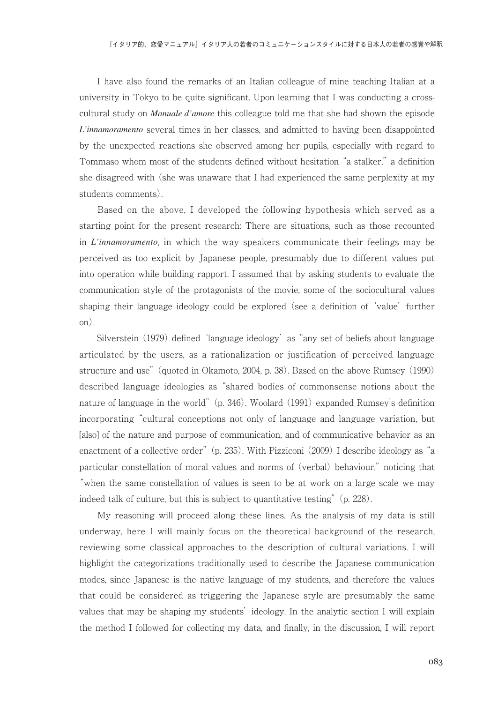I have also found the remarks of an Italian colleague of mine teaching Italian at a university in Tokyo to be quite significant. Upon learning that I was conducting a crosscultural study on *Manuale d'amore* this colleague told me that she had shown the episode *L'innamoramento* several times in her classes, and admitted to having been disappointed by the unexpected reactions she observed among her pupils, especially with regard to Tommaso whom most of the students defined without hesitation "a stalker," a definition she disagreed with (she was unaware that I had experienced the same perplexity at my students comments).

 Based on the above, I developed the following hypothesis which served as a starting point for the present research: There are situations, such as those recounted in *L'innamoramento*, in which the way speakers communicate their feelings may be perceived as too explicit by Japanese people, presumably due to different values put into operation while building rapport. I assumed that by asking students to evaluate the communication style of the protagonists of the movie, some of the sociocultural values shaping their language ideology could be explored (see a definition of 'value' further on).

 Silverstein (1979) defined 'language ideology' as "any set of beliefs about language articulated by the users, as a rationalization or justification of perceived language structure and use" (quoted in Okamoto, 2004, p. 38). Based on the above Rumsey (1990) described language ideologies as "shared bodies of commonsense notions about the nature of language in the world" (p. 346). Woolard (1991) expanded Rumsey's definition incorporating "cultural conceptions not only of language and language variation, but [also] of the nature and purpose of communication, and of communicative behavior as an enactment of a collective order" (p. 235). With Pizziconi (2009) I describe ideology as "a particular constellation of moral values and norms of (verbal) behaviour," noticing that "when the same constellation of values is seen to be at work on a large scale we may indeed talk of culture, but this is subject to quantitative testing" (p. 228).

 My reasoning will proceed along these lines. As the analysis of my data is still underway, here I will mainly focus on the theoretical background of the research, reviewing some classical approaches to the description of cultural variations. I will highlight the categorizations traditionally used to describe the Japanese communication modes, since Japanese is the native language of my students, and therefore the values that could be considered as triggering the Japanese style are presumably the same values that may be shaping my students' ideology. In the analytic section I will explain the method I followed for collecting my data, and finally, in the discussion, I will report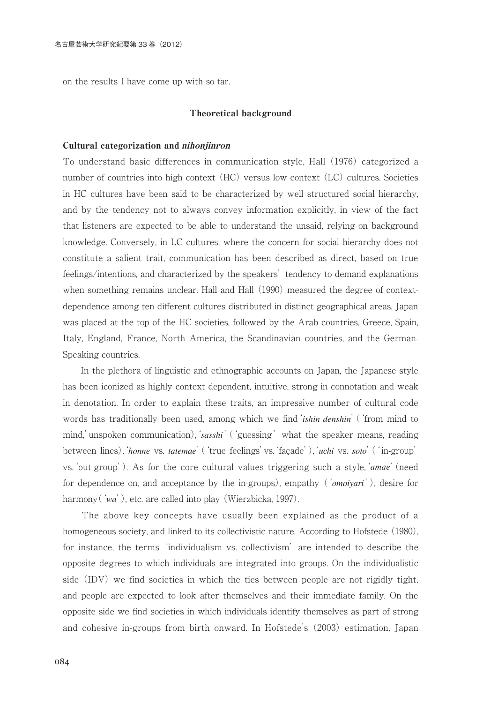on the results I have come up with so far.

#### Theoretical background

#### Cultural categorization and nihonjinron

To understand basic differences in communication style, Hall (1976) categorized a number of countries into high context (HC) versus low context (LC) cultures. Societies in HC cultures have been said to be characterized by well structured social hierarchy, and by the tendency not to always convey information explicitly, in view of the fact that listeners are expected to be able to understand the unsaid, relying on background knowledge. Conversely, in LC cultures, where the concern for social hierarchy does not constitute a salient trait, communication has been described as direct, based on true feelings/intentions, and characterized by the speakers' tendency to demand explanations when something remains unclear. Hall and Hall (1990) measured the degree of contextdependence among ten different cultures distributed in distinct geographical areas. Japan was placed at the top of the HC societies, followed by the Arab countries, Greece, Spain, Italy, England, France, North America, the Scandinavian countries, and the German-Speaking countries.

 In the plethora of linguistic and ethnographic accounts on Japan, the Japanese style has been iconized as highly context dependent, intuitive, strong in connotation and weak in denotation. In order to explain these traits, an impressive number of cultural code words has traditionally been used, among which we find'*ishin denshin*'('from mind to mind,'unspoken communication),'*sasshi*'('guessing' what the speaker means, reading between lines),'*honne* vs. *tatemae*'('true feelings'vs.'façade'),'*uchi* vs. *soto*'('in-group' vs.'out-group'). As for the core cultural values triggering such a style,'*amae*'(need for dependence on, and acceptance by the in-groups), empathy ('*omoiyari*'), desire for harmony (*'wa'*), etc. are called into play (Wierzbicka, 1997).

 The above key concepts have usually been explained as the product of a homogeneous society, and linked to its collectivistic nature. According to Hofstede (1980), for instance, the terms 'individualism vs. collectivism' are intended to describe the opposite degrees to which individuals are integrated into groups. On the individualistic side (IDV) we find societies in which the ties between people are not rigidly tight, and people are expected to look after themselves and their immediate family. On the opposite side we find societies in which individuals identify themselves as part of strong and cohesive in-groups from birth onward. In Hofstede's (2003) estimation, Japan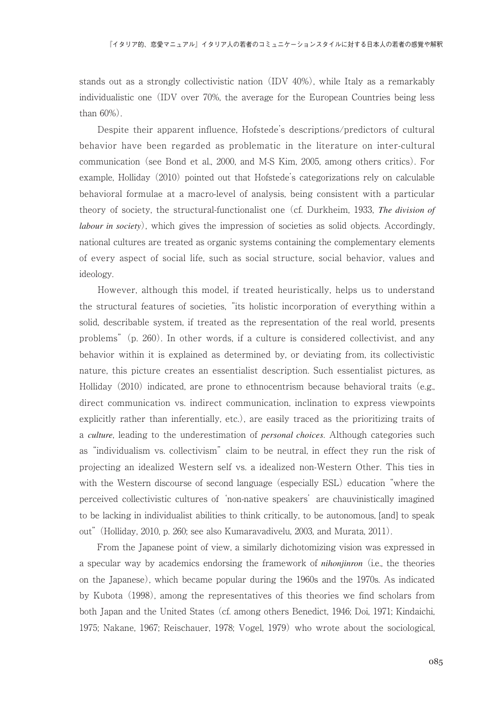stands out as a strongly collectivistic nation (IDV 40%), while Italy as a remarkably individualistic one (IDV over 70%, the average for the European Countries being less than 60%).

 Despite their apparent influence, Hofstede's descriptions/predictors of cultural behavior have been regarded as problematic in the literature on inter-cultural communication (see Bond et al., 2000, and M-S Kim, 2005, among others critics). For example, Holliday (2010) pointed out that Hofstede's categorizations rely on calculable behavioral formulae at a macro-level of analysis, being consistent with a particular theory of society, the structural-functionalist one (cf. Durkheim, 1933, *The division of labour in society*), which gives the impression of societies as solid objects. Accordingly, national cultures are treated as organic systems containing the complementary elements of every aspect of social life, such as social structure, social behavior, values and ideology.

 However, although this model, if treated heuristically, helps us to understand the structural features of societies, "its holistic incorporation of everything within a solid, describable system, if treated as the representation of the real world, presents problems" (p. 260). In other words, if a culture is considered collectivist, and any behavior within it is explained as determined by, or deviating from, its collectivistic nature, this picture creates an essentialist description. Such essentialist pictures, as Holliday (2010) indicated, are prone to ethnocentrism because behavioral traits (e.g., direct communication vs. indirect communication, inclination to express viewpoints explicitly rather than inferentially, etc.), are easily traced as the prioritizing traits of a *culture*, leading to the underestimation of *personal choices*. Although categories such as "individualism vs. collectivism" claim to be neutral, in effect they run the risk of projecting an idealized Western self vs. a idealized non-Western Other. This ties in with the Western discourse of second language (especially ESL) education "where the perceived collectivistic cultures of 'non-native speakers' are chauvinistically imagined to be lacking in individualist abilities to think critically, to be autonomous, [and] to speak out" (Holliday, 2010, p. 260; see also Kumaravadivelu, 2003, and Murata, 2011).

 From the Japanese point of view, a similarly dichotomizing vision was expressed in a specular way by academics endorsing the framework of *nihonjinron* (i.e., the theories on the Japanese), which became popular during the 1960s and the 1970s. As indicated by Kubota (1998), among the representatives of this theories we find scholars from both Japan and the United States (cf. among others Benedict, 1946; Doi, 1971; Kindaichi, 1975; Nakane, 1967; Reischauer, 1978; Vogel, 1979) who wrote about the sociological,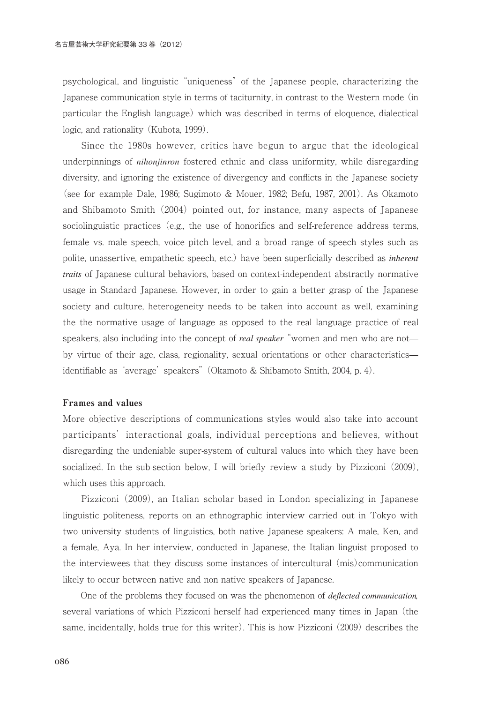psychological, and linguistic "uniqueness" of the Japanese people, characterizing the Japanese communication style in terms of taciturnity, in contrast to the Western mode (in particular the English language) which was described in terms of eloquence, dialectical logic, and rationality (Kubota, 1999).

 Since the 1980s however, critics have begun to argue that the ideological underpinnings of *nihonjinron* fostered ethnic and class uniformity, while disregarding diversity, and ignoring the existence of divergency and conflicts in the Japanese society (see for example Dale, 1986; Sugimoto & Mouer, 1982; Befu, 1987, 2001). As Okamoto and Shibamoto Smith (2004) pointed out, for instance, many aspects of Japanese sociolinguistic practices (e.g., the use of honorifics and self-reference address terms, female vs. male speech, voice pitch level, and a broad range of speech styles such as polite, unassertive, empathetic speech, etc.) have been superficially described as *inherent traits* of Japanese cultural behaviors, based on context-independent abstractly normative usage in Standard Japanese. However, in order to gain a better grasp of the Japanese society and culture, heterogeneity needs to be taken into account as well, examining the the normative usage of language as opposed to the real language practice of real speakers, also including into the concept of *real speaker* "women and men who are not by virtue of their age, class, regionality, sexual orientations or other characteristics identifiable as 'average' speakers" (Okamoto & Shibamoto Smith, 2004, p. 4).

#### Frames and values

More objective descriptions of communications styles would also take into account participants' interactional goals, individual perceptions and believes, without disregarding the undeniable super-system of cultural values into which they have been socialized. In the sub-section below, I will briefly review a study by Pizziconi (2009), which uses this approach.

 Pizziconi (2009), an Italian scholar based in London specializing in Japanese linguistic politeness, reports on an ethnographic interview carried out in Tokyo with two university students of linguistics, both native Japanese speakers: A male, Ken, and a female, Aya. In her interview, conducted in Japanese, the Italian linguist proposed to the interviewees that they discuss some instances of intercultural (mis)communication likely to occur between native and non native speakers of Japanese.

 One of the problems they focused on was the phenomenon of *deflected communication*, several variations of which Pizziconi herself had experienced many times in Japan (the same, incidentally, holds true for this writer). This is how Pizziconi (2009) describes the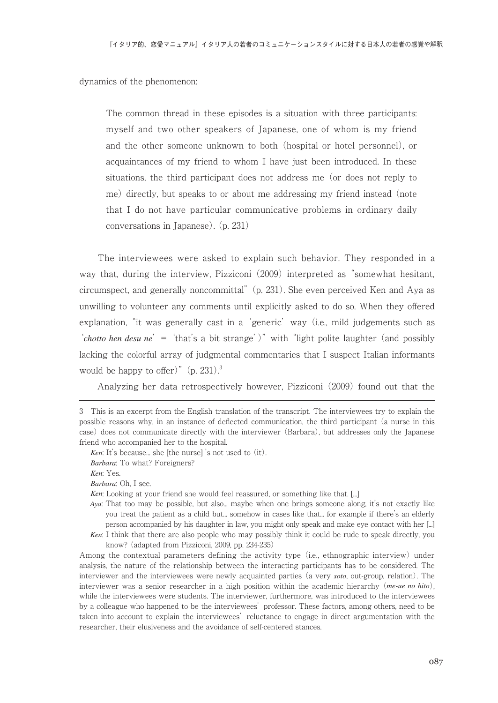dynamics of the phenomenon:

The common thread in these episodes is a situation with three participants: myself and two other speakers of Japanese, one of whom is my friend and the other someone unknown to both (hospital or hotel personnel), or acquaintances of my friend to whom I have just been introduced. In these situations, the third participant does not address me (or does not reply to me) directly, but speaks to or about me addressing my friend instead (note that I do not have particular communicative problems in ordinary daily conversations in Japanese). (p. 231)

 The interviewees were asked to explain such behavior. They responded in a way that, during the interview, Pizziconi (2009) interpreted as "somewhat hesitant, circumspect, and generally noncommittal" (p. 231). She even perceived Ken and Aya as unwilling to volunteer any comments until explicitly asked to do so. When they offered explanation, "it was generally cast in a 'generic' way (i.e., mild judgements such as '*chotto hen desu ne*' = 'that's a bit strange')" with "light polite laughter (and possibly lacking the colorful array of judgmental commentaries that I suspect Italian informants would be happy to offer)" (p. 231).<sup>3</sup>

Analyzing her data retrospectively however, Pizziconi (2009) found out that the

*Barbara*: Oh, I see.

*Ken*: Looking at your friend she would feel reassured, or something like that. [...]

know? (adapted from Pizziconi, 2009, pp. 234-235)

Among the contextual parameters defining the activity type (i.e., ethnographic interview) under analysis, the nature of the relationship between the interacting participants has to be considered. The interviewer and the interviewees were newly acquainted parties (a very *soto*, out-group, relation). The interviewer was a senior researcher in a high position within the academic hierarchy (*me-ue no hito*), while the interviewees were students. The interviewer, furthermore, was introduced to the interviewees by a colleague who happened to be the interviewees' professor. These factors, among others, need to be taken into account to explain the interviewees' reluctance to engage in direct argumentation with the researcher, their elusiveness and the avoidance of self-centered stances.

<sup>3</sup> This is an excerpt from the English translation of the transcript. The interviewees try to explain the possible reasons why, in an instance of deflected communication, the third participant (a nurse in this case) does not communicate directly with the interviewer (Barbara), but addresses only the Japanese friend who accompanied her to the hospital.

*Ken*: It's because... she [the nurse] 's not used to (it).

*Barbara*: To what? Foreigners?

*Ken*: Yes.

*Aya*: That too may be possible, but also... maybe when one brings someone along, it's not exactly like you treat the patient as a child but... somehow in cases like that... for example if there's an elderly person accompanied by his daughter in law, you might only speak and make eye contact with her [...] *Ken*: I think that there are also people who may possibly think it could be rude to speak directly, you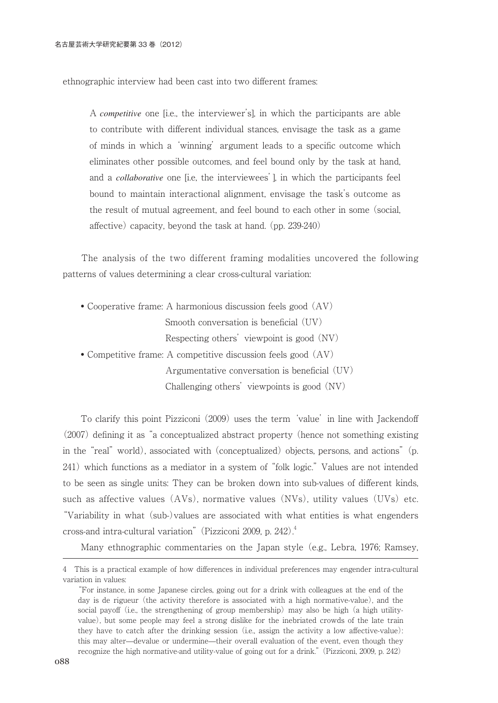ethnographic interview had been cast into two different frames:

A *competitive* one [i.e., the interviewer's], in which the participants are able to contribute with different individual stances, envisage the task as a game of minds in which a 'winning' argument leads to a specific outcome which eliminates other possible outcomes, and feel bound only by the task at hand, and a *collaborative* one [i.e, the interviewees'], in which the participants feel bound to maintain interactional alignment, envisage the task's outcome as the result of mutual agreement, and feel bound to each other in some (social, affective) capacity, beyond the task at hand. (pp. 239-240)

 The analysis of the two different framing modalities uncovered the following patterns of values determining a clear cross-cultural variation:

 • Cooperative frame: A harmonious discussion feels good (AV) Smooth conversation is beneficial (UV) Respecting others' viewpoint is good (NV)

• Competitive frame: A competitive discussion feels good (AV)

Argumentative conversation is beneficial (UV) Challenging others' viewpoints is good (NV)

 To clarify this point Pizziconi (2009) uses the term 'value' in line with Jackendoff (2007) defining it as "a conceptualized abstract property (hence not something existing in the "real" world), associated with (conceptualized) objects, persons, and actions" (p. 241) which functions as a mediator in a system of "folk logic." Values are not intended to be seen as single units: They can be broken down into sub-values of different kinds, such as affective values (AVs), normative values (NVs), utility values (UVs) etc. "Variability in what (sub-)values are associated with what entities is what engenders cross-and intra-cultural variation" (Pizziconi 2009, p. 242).<sup>4</sup>

Many ethnographic commentaries on the Japan style (e.g., Lebra, 1976; Ramsey,

<sup>4</sup> This is a practical example of how differences in individual preferences may engender intra-cultural variation in values:

<sup>&</sup>quot;For instance, in some Japanese circles, going out for a drink with colleagues at the end of the day is de rigueur (the activity therefore is associated with a high normative-value), and the social payoff (i.e., the strengthening of group membership) may also be high (a high utilityvalue), but some people may feel a strong dislike for the inebriated crowds of the late train they have to catch after the drinking session (i.e., assign the activity a low affective-value): this may alter—devalue or undermine—their overall evaluation of the event, even though they recognize the high normative-and utility-value of going out for a drink." (Pizziconi, 2009, p. 242)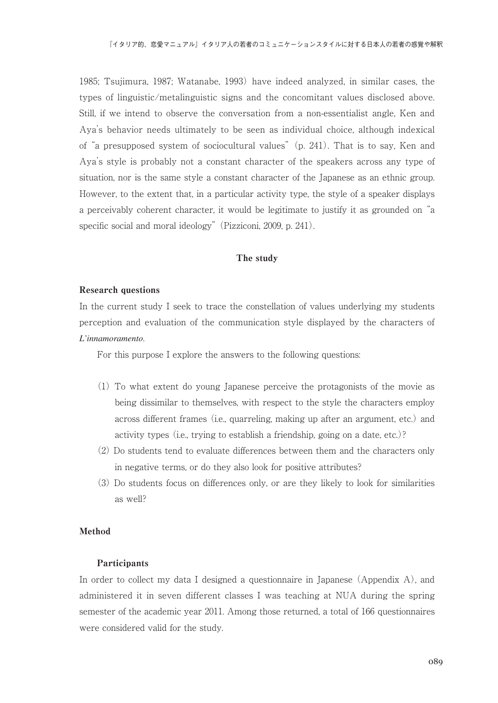1985; Tsujimura, 1987; Watanabe, 1993) have indeed analyzed, in similar cases, the types of linguistic/metalinguistic signs and the concomitant values disclosed above. Still, if we intend to observe the conversation from a non-essentialist angle, Ken and Aya's behavior needs ultimately to be seen as individual choice, although indexical of "a presupposed system of sociocultural values" (p. 241). That is to say, Ken and Aya's style is probably not a constant character of the speakers across any type of situation, nor is the same style a constant character of the Japanese as an ethnic group. However, to the extent that, in a particular activity type, the style of a speaker displays a perceivably coherent character, it would be legitimate to justify it as grounded on "a specific social and moral ideology" (Pizziconi, 2009, p. 241).

#### The study

#### Research questions

In the current study I seek to trace the constellation of values underlying my students perception and evaluation of the communication style displayed by the characters of *L'innamoramento*.

For this purpose I explore the answers to the following questions:

- (1) To what extent do young Japanese perceive the protagonists of the movie as being dissimilar to themselves, with respect to the style the characters employ across different frames (i.e., quarreling, making up after an argument, etc.) and activity types (i.e., trying to establish a friendship, going on a date, etc.)?
- (2) Do students tend to evaluate differences between them and the characters only in negative terms, or do they also look for positive attributes?
- (3) Do students focus on differences only, or are they likely to look for similarities as well?

#### Method

#### Participants

In order to collect my data I designed a questionnaire in Japanese (Appendix A), and administered it in seven different classes I was teaching at NUA during the spring semester of the academic year 2011. Among those returned, a total of 166 questionnaires were considered valid for the study.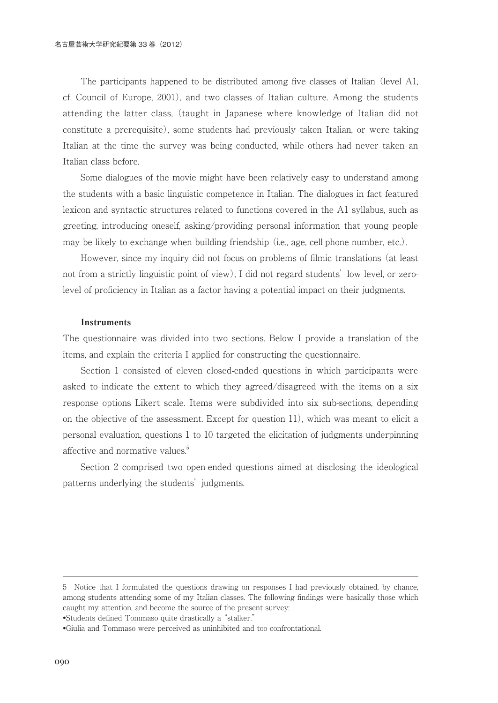The participants happened to be distributed among five classes of Italian (level A1, cf. Council of Europe, 2001), and two classes of Italian culture. Among the students attending the latter class, (taught in Japanese where knowledge of Italian did not constitute a prerequisite), some students had previously taken Italian, or were taking Italian at the time the survey was being conducted, while others had never taken an Italian class before.

 Some dialogues of the movie might have been relatively easy to understand among the students with a basic linguistic competence in Italian. The dialogues in fact featured lexicon and syntactic structures related to functions covered in the A1 syllabus, such as greeting, introducing oneself, asking/providing personal information that young people may be likely to exchange when building friendship (i.e., age, cell-phone number, etc.).

 However, since my inquiry did not focus on problems of filmic translations (at least not from a strictly linguistic point of view), I did not regard students' low level, or zerolevel of proficiency in Italian as a factor having a potential impact on their judgments.

#### **Instruments**

The questionnaire was divided into two sections. Below I provide a translation of the items, and explain the criteria I applied for constructing the questionnaire.

 Section 1 consisted of eleven closed-ended questions in which participants were asked to indicate the extent to which they agreed/disagreed with the items on a six response options Likert scale. Items were subdivided into six sub-sections, depending on the objective of the assessment. Except for question 11), which was meant to elicit a personal evaluation, questions 1 to 10 targeted the elicitation of judgments underpinning affective and normative values.<sup>5</sup>

 Section 2 comprised two open-ended questions aimed at disclosing the ideological patterns underlying the students' judgments.

<sup>5</sup> Notice that I formulated the questions drawing on responses I had previously obtained, by chance, among students attending some of my Italian classes. The following findings were basically those which caught my attention, and become the source of the present survey:

<sup>•</sup>Students defined Tommaso quite drastically a "stalker."

<sup>•</sup>Giulia and Tommaso were perceived as uninhibited and too confrontational.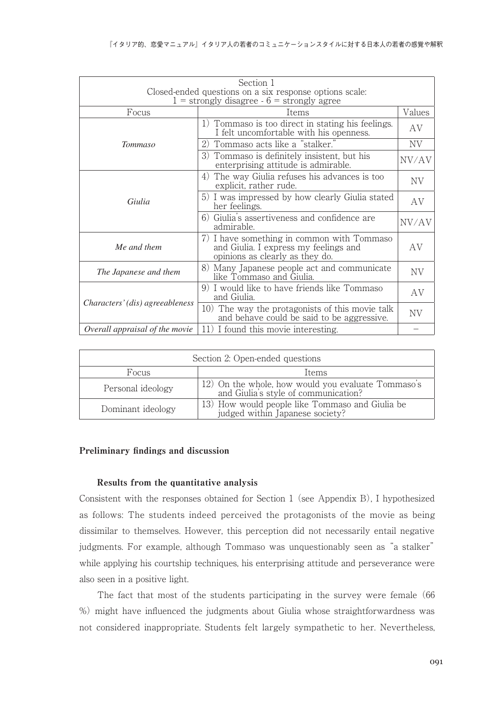|                                                                                                          | Section 1                                                                                                              |        |  |  |  |
|----------------------------------------------------------------------------------------------------------|------------------------------------------------------------------------------------------------------------------------|--------|--|--|--|
| Closed-ended questions on a six response options scale:<br>$1 =$ strongly disagree $-6 =$ strongly agree |                                                                                                                        |        |  |  |  |
| Focus                                                                                                    | Items                                                                                                                  | Values |  |  |  |
|                                                                                                          | 1) Tommaso is too direct in stating his feelings.<br>I felt uncomfortable with his openness.                           | AV     |  |  |  |
| <b>Tommaso</b>                                                                                           | 2) Tommaso acts like a "stalker."                                                                                      | NV.    |  |  |  |
|                                                                                                          | 3) Tommaso is definitely insistent, but his<br>enterprising attitude is admirable.                                     | NV/AV  |  |  |  |
| Giulia                                                                                                   | 4) The way Giulia refuses his advances is too<br>explicit, rather rude.                                                | NV     |  |  |  |
|                                                                                                          | 5) I was impressed by how clearly Giulia stated<br>her feelings.                                                       | AV     |  |  |  |
|                                                                                                          | 6) Giulia's assertiveness and confidence are<br>admirable.                                                             | NV/AV  |  |  |  |
| Me and them                                                                                              | 7) I have something in common with Tommaso<br>and Giulia. I express my feelings and<br>opinions as clearly as they do. | AV     |  |  |  |
| The Japanese and them                                                                                    | 8) Many Japanese people act and communicate<br>like Tommaso and Giulia.                                                | NV     |  |  |  |
| Characters' (dis) agreeableness                                                                          | 9) I would like to have friends like Tommaso<br>and Giulia.                                                            | AV     |  |  |  |
|                                                                                                          | 10) The way the protagonists of this movie talk<br>and behave could be said to be aggressive.                          | NV     |  |  |  |
| Overall appraisal of the movie                                                                           | 11) I found this movie interesting.                                                                                    |        |  |  |  |

| Section 2: Open-ended questions |                                                                                            |  |  |  |
|---------------------------------|--------------------------------------------------------------------------------------------|--|--|--|
| Focus<br>Items                  |                                                                                            |  |  |  |
| Personal ideology               | 12) On the whole, how would you evaluate Tommaso's<br>and Giulia's style of communication? |  |  |  |
| Dominant ideology               | 13) How would people like Tommaso and Giulia be<br>judged within Japanese society?         |  |  |  |

### Preliminary findings and discussion

#### Results from the quantitative analysis

Consistent with the responses obtained for Section 1 (see Appendix B), I hypothesized as follows: The students indeed perceived the protagonists of the movie as being dissimilar to themselves. However, this perception did not necessarily entail negative judgments. For example, although Tommaso was unquestionably seen as "a stalker" while applying his courtship techniques, his enterprising attitude and perseverance were also seen in a positive light.

 The fact that most of the students participating in the survey were female (66 %) might have influenced the judgments about Giulia whose straightforwardness was not considered inappropriate. Students felt largely sympathetic to her. Nevertheless,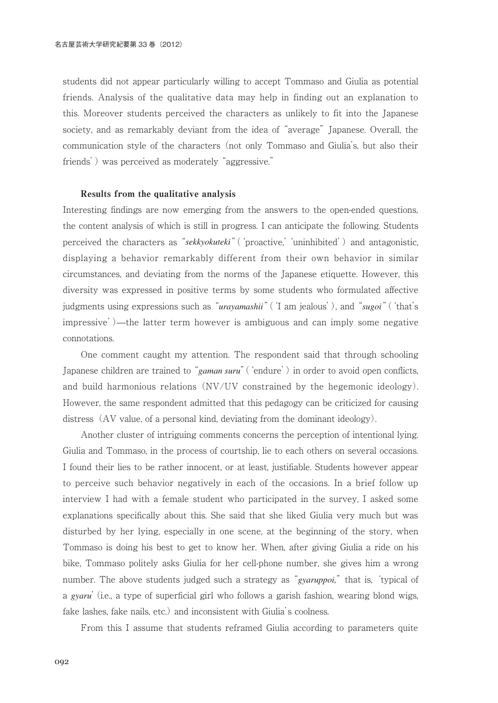students did not appear particularly willing to accept Tommaso and Giulia as potential friends. Analysis of the qualitative data may help in finding out an explanation to this. Moreover students perceived the characters as unlikely to fit into the Japanese society, and as remarkably deviant from the idea of "average" Japanese. Overall, the communication style of the characters (not only Tommaso and Giulia's, but also their friends') was perceived as moderately "aggressive."

#### Results from the qualitative analysis

Interesting findings are now emerging from the answers to the open-ended questions, the content analysis of which is still in progress. I can anticipate the following. Students perceived the characters as "*sekkyokuteki*" ('proactive,' 'uninhibited') and antagonistic, displaying a behavior remarkably different from their own behavior in similar circumstances, and deviating from the norms of the Japanese etiquette. However, this diversity was expressed in positive terms by some students who formulated affective judgments using expressions such as "*urayamashii*"('I am jealous'), and "*sugoi*"('that's impressive')—the latter term however is ambiguous and can imply some negative connotations.

 One comment caught my attention. The respondent said that through schooling Japanese children are trained to "*gaman suru*" ('endure') in order to avoid open conflicts, and build harmonious relations (NV/UV constrained by the hegemonic ideology). However, the same respondent admitted that this pedagogy can be criticized for causing distress  $(AV)$  value, of a personal kind, deviating from the dominant ideology).

 Another cluster of intriguing comments concerns the perception of intentional lying. Giulia and Tommaso, in the process of courtship, lie to each others on several occasions. I found their lies to be rather innocent, or at least, justifiable. Students however appear to perceive such behavior negatively in each of the occasions. In a brief follow up interview I had with a female student who participated in the survey, I asked some explanations specifically about this. She said that she liked Giulia very much but was disturbed by her lying, especially in one scene, at the beginning of the story, when Tommaso is doing his best to get to know her. When, after giving Giulia a ride on his bike, Tommaso politely asks Giulia for her cell-phone number, she gives him a wrong number. The above students judged such a strategy as "*gyaruppoi,*" that is, 'typical of a *gyaru*' (i.e., a type of superficial girl who follows a garish fashion, wearing blond wigs, fake lashes, fake nails, etc.) and inconsistent with Giulia's coolness.

From this I assume that students reframed Giulia according to parameters quite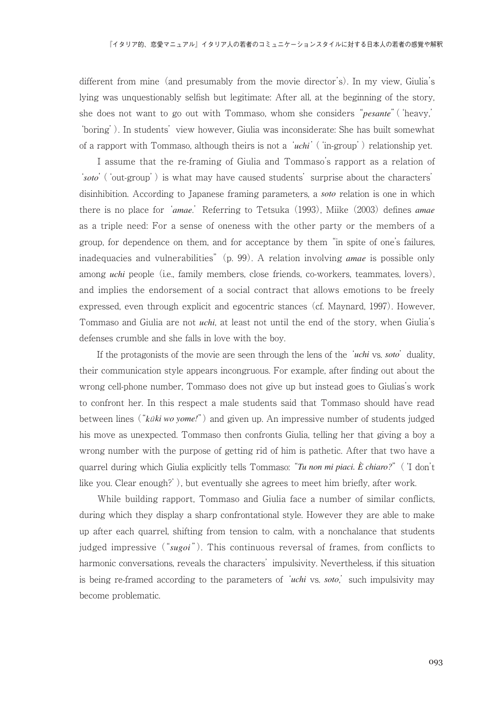different from mine (and presumably from the movie director's). In my view, Giulia's lying was unquestionably selfish but legitimate: After all, at the beginning of the story, she does not want to go out with Tommaso, whom she considers "*pesante*"('heavy,' 'boring'). In students' view however, Giulia was inconsiderate: She has built somewhat of a rapport with Tommaso, although theirs is not a '*uchi*'('in-group') relationship yet.

 I assume that the re-framing of Giulia and Tommaso's rapport as a relation of '*soto*'('out-group') is what may have caused students' surprise about the characters' disinhibition. According to Japanese framing parameters, a *soto* relation is one in which there is no place for '*amae*.' Referring to Tetsuka (1993), Miike (2003) defines *amae* as a triple need: For a sense of oneness with the other party or the members of a group, for dependence on them, and for acceptance by them "in spite of one's failures, inadequacies and vulnerabilities" (p. 99). A relation involving *amae* is possible only among *uchi* people (i.e., family members, close friends, co-workers, teammates, lovers), and implies the endorsement of a social contract that allows emotions to be freely expressed, even through explicit and egocentric stances (cf. Maynard, 1997). However, Tommaso and Giulia are not *uchi*, at least not until the end of the story, when Giulia's defenses crumble and she falls in love with the boy.

 If the protagonists of the movie are seen through the lens of the '*uchi* vs. *soto*' duality, their communication style appears incongruous. For example, after finding out about the wrong cell-phone number, Tommaso does not give up but instead goes to Giulias's work to confront her. In this respect a male students said that Tommaso should have read between lines ("*k*<sup>ū</sup> *ki wo yome!*") and given up. An impressive number of students judged his move as unexpected. Tommaso then confronts Giulia, telling her that giving a boy a wrong number with the purpose of getting rid of him is pathetic. After that two have a quarrel during which Giulia explicitly tells Tommaso: "*Tu non mi piaci. È chiaro?*" ('I don't like you. Clear enough?'), but eventually she agrees to meet him briefly, after work.

 While building rapport, Tommaso and Giulia face a number of similar conflicts, during which they display a sharp confrontational style. However they are able to make up after each quarrel, shifting from tension to calm, with a nonchalance that students judged impressive ("*sugoi* "). This continuous reversal of frames, from conflicts to harmonic conversations, reveals the characters' impulsivity. Nevertheless, if this situation is being re-framed according to the parameters of '*uchi* vs. *soto*,' such impulsivity may become problematic.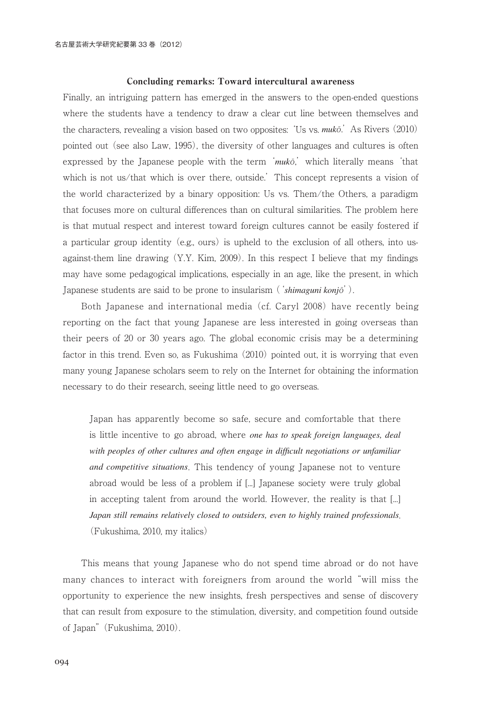#### Concluding remarks: Toward intercultural awareness

Finally, an intriguing pattern has emerged in the answers to the open-ended questions where the students have a tendency to draw a clear cut line between themselves and the characters, revealing a vision based on two opposites: 'Us vs. *muk*ō.' As Rivers (2010) pointed out (see also Law, 1995), the diversity of other languages and cultures is often expressed by the Japanese people with the term '*muk*ō,' which literally means 'that which is not us/that which is over there, outside.' This concept represents a vision of the world characterized by a binary opposition: Us vs. Them/the Others, a paradigm that focuses more on cultural differences than on cultural similarities. The problem here is that mutual respect and interest toward foreign cultures cannot be easily fostered if a particular group identity (e.g., ours) is upheld to the exclusion of all others, into usagainst-them line drawing  $(Y,Y, Kim, 2009)$ . In this respect I believe that my findings may have some pedagogical implications, especially in an age, like the present, in which Japanese students are said to be prone to insularism ('*shimaguni konj*ō').

 Both Japanese and international media (cf. Caryl 2008) have recently being reporting on the fact that young Japanese are less interested in going overseas than their peers of 20 or 30 years ago. The global economic crisis may be a determining factor in this trend. Even so, as Fukushima (2010) pointed out, it is worrying that even many young Japanese scholars seem to rely on the Internet for obtaining the information necessary to do their research, seeing little need to go overseas.

Japan has apparently become so safe, secure and comfortable that there is little incentive to go abroad, where *one has to speak foreign languages, deal with peoples of other cultures and often engage in difficult negotiations or unfamiliar and competitive situations*. This tendency of young Japanese not to venture abroad would be less of a problem if [...] Japanese society were truly global in accepting talent from around the world. However, the reality is that [...] *Japan still remains relatively closed to outsiders, even to highly trained professionals*. (Fukushima, 2010, my italics)

 This means that young Japanese who do not spend time abroad or do not have many chances to interact with foreigners from around the world "will miss the opportunity to experience the new insights, fresh perspectives and sense of discovery that can result from exposure to the stimulation, diversity, and competition found outside of Japan" (Fukushima, 2010).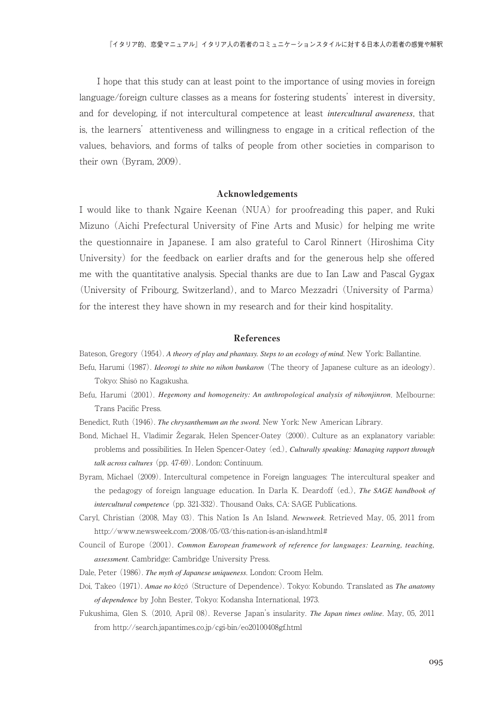I hope that this study can at least point to the importance of using movies in foreign language/foreign culture classes as a means for fostering students' interest in diversity, and for developing, if not intercultural competence at least *intercultural awareness*, that is, the learners' attentiveness and willingness to engage in a critical reflection of the values, behaviors, and forms of talks of people from other societies in comparison to their own (Byram, 2009).

#### Acknowledgements

I would like to thank Ngaire Keenan (NUA) for proofreading this paper, and Ruki Mizuno (Aichi Prefectural University of Fine Arts and Music) for helping me write the questionnaire in Japanese. I am also grateful to Carol Rinnert (Hiroshima City University) for the feedback on earlier drafts and for the generous help she offered me with the quantitative analysis. Special thanks are due to Ian Law and Pascal Gygax (University of Fribourg, Switzerland), and to Marco Mezzadri (University of Parma) for the interest they have shown in my research and for their kind hospitality.

#### References

Bateson, Gregory (1954). *A theory of play and phantasy. Steps to an ecology of mind*. New York: Ballantine.

- Befu, Harumi (1987). *Ideorogi to shite no nihon bunkaron* (The theory of Japanese culture as an ideology). Tokyo: Shisō no Kagakusha.
- Befu, Harumi (2001). *Hegemony and homogeneity: An anthropological analysis of nihonjinron*. Melbourne: Trans Pacific Press.
- Benedict, Ruth (1946). *The chrysanthemum an the sword*. New York: New American Library.
- Bond, Michael H., Vladimir Žegarak, Helen Spencer-Oatey (2000). Culture as an explanatory variable: problems and possibilities. In Helen Spencer-Oatey (ed.), *Culturally speaking: Managing rapport through talk across cultures* (pp. 47-69). London: Continuum.
- Byram, Michael (2009). Intercultural competence in Foreign languages: The intercultural speaker and the pedagogy of foreign language education. In Darla K. Deardoff (ed.), *The SAGE handbook of intercultural competence* (pp. 321-332). Thousand Oaks, CA: SAGE Publications.
- Caryl, Christian (2008, May 03). This Nation Is An Island. *Newsweek*. Retrieved May, 05, 2011 from http://www.newsweek.com/2008/05/03/this-nation-is-an-island.html#
- Council of Europe (2001). *Common European framework of reference for languages: Learning, teaching, assessment*. Cambridge: Cambridge University Press.
- Dale, Peter (1986). *The myth of Japanese uniqueness*. London: Croom Helm.
- Doi, Takeo (1971). *Amae no k*ō*z*ō (Structure of Dependence). Tokyo: Kobundo. Translated as *The anatomy of dependence* by John Bester, Tokyo: Kodansha International, 1973.
- Fukushima, Glen S. (2010, April 08). Reverse Japan's insularity. *The Japan times online*. May, 05, 2011 from http://search.japantimes.co.jp/cgi-bin/eo20100408gf.html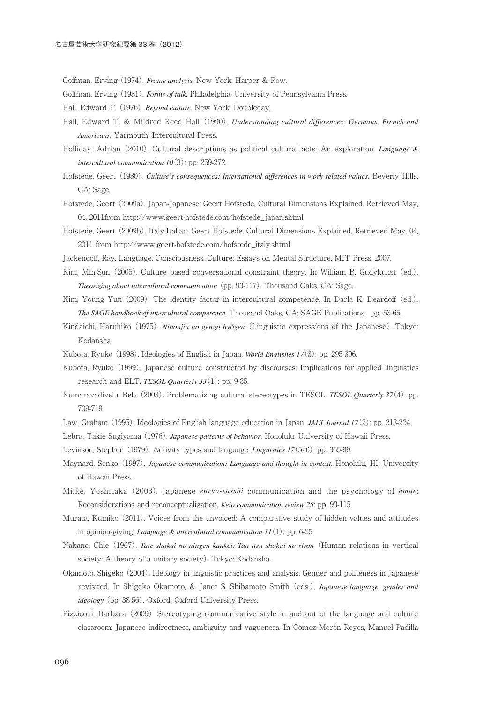Goffman, Erving (1974). *Frame analysis*. New York: Harper & Row.

- Goffman, Erving (1981). *Forms of talk*. Philadelphia: University of Pennsylvania Press.
- Hall, Edward T. (1976). *Beyond culture*. New York: Doubleday.
- Hall, Edward T. & Mildred Reed Hall (1990). *Understanding cultural differences: Germans, French and Americans*. Yarmouth: Intercultural Press.
- Holliday, Adrian (2010). Cultural descriptions as political cultural acts: An exploration. *Language & intercultural communication 10*(3): pp. 259-272.
- Hofstede, Geert (1980). *Culture's consequences: International differences in work-related values*. Beverly Hills, CA: Sage.
- Hofstede, Geert (2009a). Japan-Japanese: Geert Hofstede, Cultural Dimensions Explained. Retrieved May, 04, 2011from http://www.geert-hofstede.com/hofstede\_japan.shtml
- Hofstede, Geert (2009b). Italy-Italian: Geert Hofstede, Cultural Dimensions Explained. Retrieved May, 04, 2011 from http://www.geert-hofstede.com/hofstede\_italy.shtml

Jackendoff, Ray. Language, Consciousness, Culture: Essays on Mental Structure. MIT Press, 2007.

- Kim, Min-Sun (2005). Culture based conversational constraint theory. In William B. Gudykunst (ed.), *Theorizing about intercultural communication* (pp. 93-117). Thousand Oaks, CA: Sage.
- Kim, Young Yun (2009). The identity factor in intercultural competence. In Darla K. Deardoff (ed.). *The SAGE handbook of intercultural competence*. Thousand Oaks, CA: SAGE Publications. pp. 53-65.
- Kindaichi, Haruhiko (1975). *Nihonjin no gengo hy*ō*gen* (Linguistic expressions of the Japanese). Tokyo: Kodansha.
- Kubota, Ryuko (1998). Ideologies of English in Japan. *World Englishes 17*(3): pp. 295-306.
- Kubota, Ryuko (1999). Japanese culture constructed by discourses: Implications for applied linguistics research and ELT. *TESOL Quarterly 33*(1): pp. 9-35.
- Kumaravadivelu, Bela (2003). Problematizing cultural stereotypes in TESOL. *TESOL Quarterly 37*(4): pp. 709-719.
- Law, Graham (1995). Ideologies of English language education in Japan. *JALT Journal 17*(2): pp. 213-224.
- Lebra, Takie Sugiyama (1976). *Japanese patterns of behavior*. Honolulu: University of Hawaii Press.
- Levinson, Stephen (1979). Activity types and language. *Linguistics 17*(5/6): pp. 365-99.
- Maynard, Senko (1997), *Japanese communication: Language and thought in context*. Honolulu, HI: University of Hawaii Press.
- Miike, Yoshitaka (2003). Japanese *enryo-sasshi* communication and the psychology of *amae*: Reconsiderations and reconceptualization. *Keio communication review 25*: pp. 93-115.
- Murata, Kumiko (2011). Voices from the unvoiced: A comparative study of hidden values and attitudes in opinion-giving. *Language & intercultural communication 11*(1): pp. 6-25.
- Nakane, Chie (1967). *Tate shakai no ningen kankei: Tan-itsu shakai no riron* (Human relations in vertical society: A theory of a unitary society). Tokyo: Kodansha.
- Okamoto, Shigeko (2004). Ideology in linguistic practices and analysis. Gender and politeness in Japanese revisited. In Shigeko Okamoto, & Janet S. Shibamoto Smith (eds.), *Japanese language, gender and ideology* (pp. 38-56). Oxford: Oxford University Press.
- Pizziconi, Barbara (2009). Stereotyping communicative style in and out of the language and culture classroom: Japanese indirectness, ambiguity and vagueness. In Gómez Morón Reyes, Manuel Padilla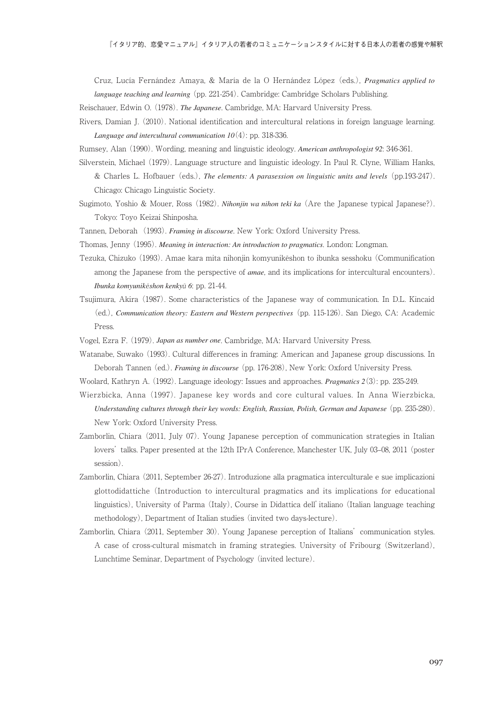Cruz, Lucía Fernández Amaya, & María de la O Hernández López (eds.), *Pragmatics applied to language teaching and learning* (pp. 221-254). Cambridge: Cambridge Scholars Publishing.

Reischauer, Edwin O. (1978). *The Japanese*. Cambridge, MA: Harvard University Press.

Rivers, Damian J. (2010). National identification and intercultural relations in foreign language learning. *Language and intercultural communication 10*(4): pp. 318-336.

Rumsey, Alan (1990). Wording, meaning and linguistic ideology. *American anthropologist 92*: 346-361.

Silverstein, Michael (1979). Language structure and linguistic ideology. In Paul R. Clyne, William Hanks, & Charles L. Hofbauer (eds.), *The elements: A parasession on linguistic units and levels* (pp.193-247). Chicago: Chicago Linguistic Society.

Sugimoto, Yoshio & Mouer, Ross (1982). *Nihonjin wa nihon teki ka* (Are the Japanese typical Japanese?). Tokyo: Toyo Keizai Shinposha.

- Tannen, Deborah (1993). *Framing in discourse*. New York: Oxford University Press.
- Thomas, Jenny (1995). *Meaning in interaction: An introduction to pragmatics*. London: Longman.
- Tezuka, Chizuko (1993). Amae kara mita nihonjin komyunikēshon to ibunka sesshoku (Communification among the Japanese from the perspective of *amae*, and its implications for intercultural encounters). *Ibunka komyunik*ē*shon kenky*ū *6*: pp. 21-44.
- Tsujimura, Akira (1987). Some characteristics of the Japanese way of communication. In D.L. Kincaid (ed.), *Communication theory: Eastern and Western perspectives* (pp. 115-126). San Diego, CA: Academic Press.
- Vogel, Ezra F. (1979). *Japan as number one*. Cambridge, MA: Harvard University Press.
- Watanabe, Suwako (1993). Cultural differences in framing: American and Japanese group discussions. In Deborah Tannen (ed.). *Framing in discourse* (pp. 176-208), New York: Oxford University Press.
- Woolard, Kathryn A. (1992). Language ideology: Issues and approaches. *Pragmatics 2*(3): pp. 235-249.
- Wierzbicka, Anna (1997). Japanese key words and core cultural values. In Anna Wierzbicka, *Understanding cultures through their key words: English, Russian, Polish, German and Japanese* (pp. 235-280). New York: Oxford University Press.
- Zamborlin, Chiara (2011, July 07). Young Japanese perception of communication strategies in Italian lovers' talks. Paper presented at the 12th IPrA Conference, Manchester UK, July 03–08, 2011 (poster session).
- Zamborlin, Chiara (2011, September 26-27). Introduzione alla pragmatica interculturale e sue implicazioni glottodidattiche (Introduction to intercultural pragmatics and its implications for educational linguistics), University of Parma (Italy), Course in Didattica dell'italiano (Italian language teaching methodology), Department of Italian studies (invited two days-lecture).
- Zamborlin, Chiara (2011, September 30). Young Japanese perception of Italians' communication styles. A case of cross-cultural mismatch in framing strategies. University of Fribourg (Switzerland), Lunchtime Seminar, Department of Psychology (invited lecture).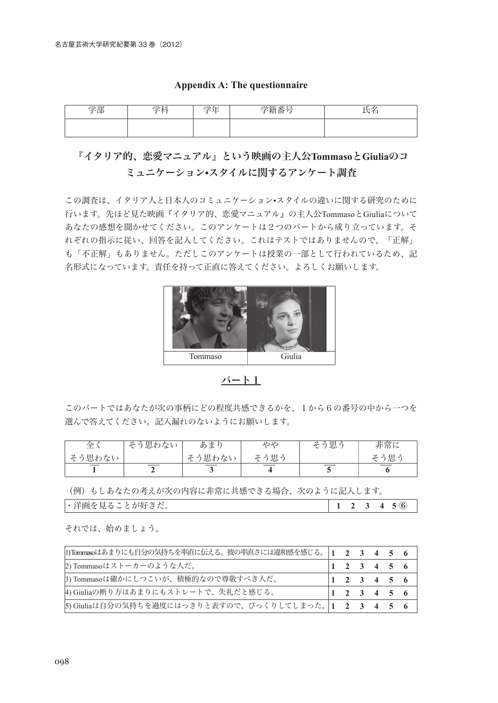| - |  |  |
|---|--|--|
|   |  |  |

## **Appendix A: The questionnaire**

# 『イタリア的、恋愛マニュアル』という映画の主人公**Tommaso**と**Giulia**のコ ミュニケーション**•**スタイルに関するアンケート調査

この調査は、イタリア人と日本人のコミュニケーション•スタイルの違いに関する研究のために 行います。先ほど見た映画『イタリア的、恋愛マニュアル』の主人公TommasoとGiuliaについて あなたの感想を聞かせてください。このアンケートは2つのパートから成り立っています。そ れぞれの指示に従い、回答を記入してください。これはテストではありませんので、「正解」 も「不正解」もありません。ただしこのアンケートは授業の一部として行われているため、記 名形式になっています。責任を持って正直に答えてください。よろしくお願いします。



パート1

このパートではあなたが次の事柄にどの程度共感できるかを、1から6の番号の中から一つを 選んで答えてください。記入漏れのないようにお願いします。

| ≏≏<br>—⊷ | 思わない<br>$\boldsymbol{z}$ | あま     | やや   | そう思う | 非常に  |
|----------|--------------------------|--------|------|------|------|
| そう思わない   |                          | そう思わない | そう思う |      | そう思う |
|          |                          |        |      |      |      |

(例)もしあなたの考えが次の内容に非常に共感できる場合、次のように記入します。

| 洋画を見る、<br>とが好きだ<br>$\sim$<br>$\ddot{\circ}$<br>، س - ۰<br>ー | - |  | $\bf{6}$ |  |
|-------------------------------------------------------------|---|--|----------|--|
|                                                             |   |  |          |  |

それでは、始めましょう。

| 1)Tommasoはあまりにも自分の気持ちを率直に伝える。彼の率直さには違和感を感じる。 1 2 3 4 5 6 |  |        |  |
|----------------------------------------------------------|--|--------|--|
| 2) Tommasoはストーカーのような人だ。                                  |  | 123456 |  |
| 3) Tommasoは確かにしつこいが、積極的なので尊敬すべき人だ。                       |  | 123456 |  |
| 4) Giuliaの断り方はあまりにもストレートで、失礼だと感じる。                       |  | 123456 |  |
| 5) Giuliaは自分の気持ちを過度にはっきりと表すので、びっくりしてしまった。 1 2 3 4 5 6    |  |        |  |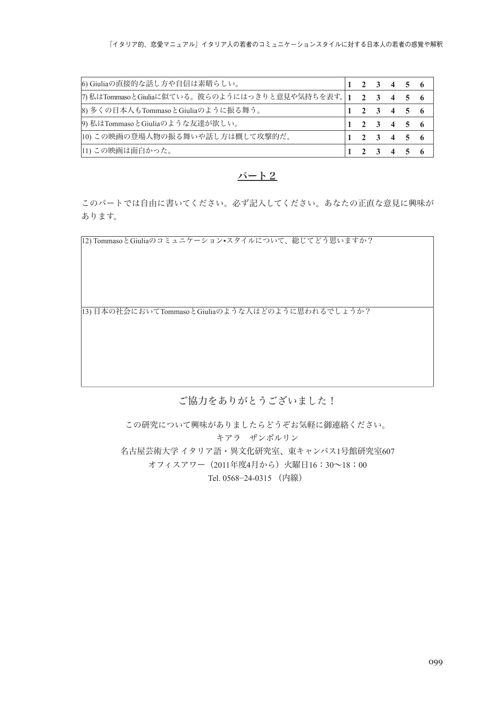| 6) Giuliaの直接的な話し方や自信は素晴らしい。                                |  |  | $1 \t2 \t3 \t4 \t5 \t6$ |  |
|------------------------------------------------------------|--|--|-------------------------|--|
| 7) 私はTommasoとGiuliaに似ている。彼らのようにはっきりと意見や気持ちを表す。 1 2 3 4 5 6 |  |  |                         |  |
| 8) 多くの日本人もTommasoとGiuliaのように振る舞う。                          |  |  | 2 3 4 5 6               |  |
| 9) 私はTommasoとGiuliaのような友達が欲しい。                             |  |  | $1 \t2 \t3 \t4 \t5 \t6$ |  |
| 10) この映画の登場人物の振る舞いや話し方は概して攻撃的だ。                            |  |  | $1 \t2 \t3 \t4 \t5 \t6$ |  |
| 11) この映画は面白かった。                                            |  |  | $1 \t2 \t3 \t4 \t5 \t6$ |  |

#### パート2

このパートでは自由に書いてください。必ず記入してください。あなたの正直な意見に興味が あります。

12) TommasoとGiuliaのコミュニケーション•スタイルについて、総じてどう思いますか?

13) 日本の社会においてTommasoとGiuliaのような人はどのように思われるでしょうか?

## ご協力をありがとうございました!

この研究について興味がありましたらどうぞお気軽に御連絡ください。 キアラ ザンボルリン 名古屋芸術大学 イタリア語・異文化研究室、東キャンパス1号館研究室607 オフィスアワー(2011年度4月から)火曜日16:30~18:00 Tel. 0568-24-0315 (内線)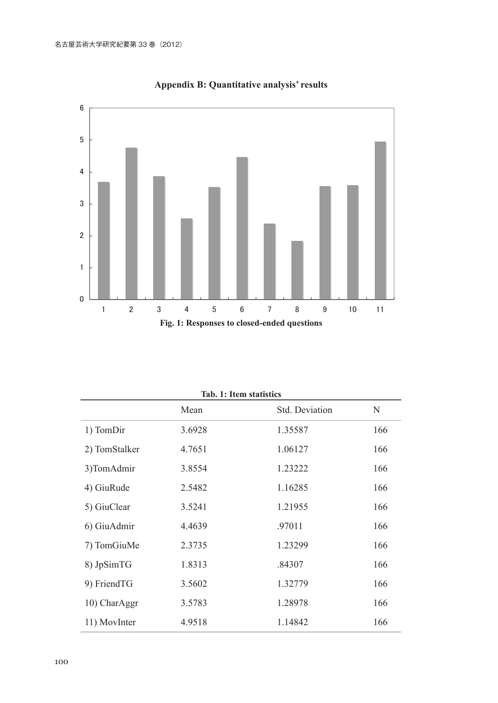

**Appendix B: Quantitative analysis' results**

| Tad. 1: Item statistics |        |                |     |  |  |
|-------------------------|--------|----------------|-----|--|--|
|                         | Mean   | Std. Deviation | N   |  |  |
| 1) TomDir               | 3.6928 | 1.35587        | 166 |  |  |
| 2) TomStalker           | 4.7651 | 1.06127        | 166 |  |  |
| 3)TomAdmir              | 3.8554 | 1.23222        | 166 |  |  |
| 4) GiuRude              | 2.5482 | 1.16285        | 166 |  |  |
| 5) GiuClear             | 3.5241 | 1.21955        | 166 |  |  |
| 6) GiuAdmir             | 4.4639 | .97011         | 166 |  |  |
| 7) TomGiuMe             | 2.3735 | 1.23299        | 166 |  |  |
| 8) JpSimTG              | 1.8313 | .84307         | 166 |  |  |
| 9) FriendTG             | 3.5602 | 1.32779        | 166 |  |  |
| 10) CharAggr            | 3.5783 | 1.28978        | 166 |  |  |
| 11) MovInter            | 4.9518 | 1.14842        | 166 |  |  |

**Tab. 1: Item statistics**